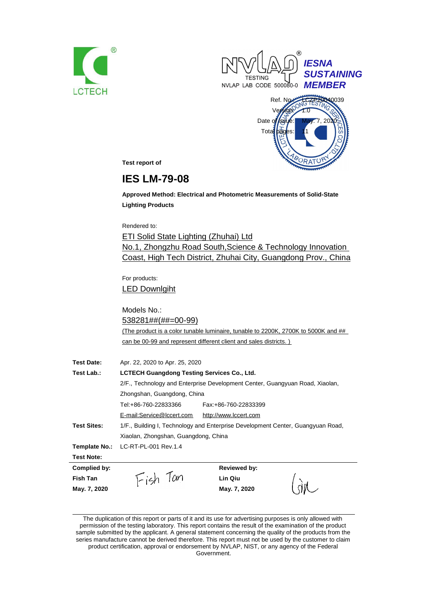





**Test report of**

# **IES LM-79-08**

**Approved Method: Electrical and Photometric Measurements of Solid-State Lighting Products**

Rendered to:

ETI Solid State Lighting (Zhuhai) Ltd No.1, Zhongzhu Road South,Science & Technology Innovation Coast, High Tech District, Zhuhai City, Guangdong Prov., China

For products: LED Downlgiht

Models No.: 538281##(##=00-99) (The product is a color tunable luminaire, tunable to 2200K, 2700K to 5000K and ## can be 00-99 and represent different client and sales districts. )

| <b>Test Date:</b>  | Apr. 22, 2020 to Apr. 25, 2020                                               |                                                                                 |  |
|--------------------|------------------------------------------------------------------------------|---------------------------------------------------------------------------------|--|
| Test Lab.:         | <b>LCTECH Guangdong Testing Services Co., Ltd.</b>                           |                                                                                 |  |
|                    | 2/F., Technology and Enterprise Development Center, Guangyuan Road, Xiaolan, |                                                                                 |  |
|                    | Zhongshan, Guangdong, China                                                  |                                                                                 |  |
|                    | Tel:+86-760-22833366                                                         | Fax: +86-760-22833399                                                           |  |
|                    | E-mail:Service@lccert.com                                                    | http://www.lccert.com                                                           |  |
| <b>Test Sites:</b> |                                                                              | 1/F., Building I, Technology and Enterprise Development Center, Guangyuan Road, |  |
|                    | Xiaolan, Zhongshan, Guangdong, China                                         |                                                                                 |  |
| Template No.:      | LC-RT-PL-001 Rev.1.4                                                         |                                                                                 |  |
| <b>Test Note:</b>  |                                                                              |                                                                                 |  |
| Complied by:       |                                                                              | <b>Reviewed by:</b>                                                             |  |
| Fish Tan           | Fish Tan                                                                     | Lin Qiu                                                                         |  |
| May. 7, 2020       |                                                                              | May. 7, 2020                                                                    |  |

The duplication of this report or parts of it and its use for advertising purposes is only allowed with permission of the testing laboratory. This report contains the result of the examination of the product sample submitted by the applicant. A general statement concerning the quality of the products from the series manufacture cannot be derived therefore. This report must not be used by the customer to claim product certification, approval or endorsement by NVLAP, NIST, or any agency of the Federal Government.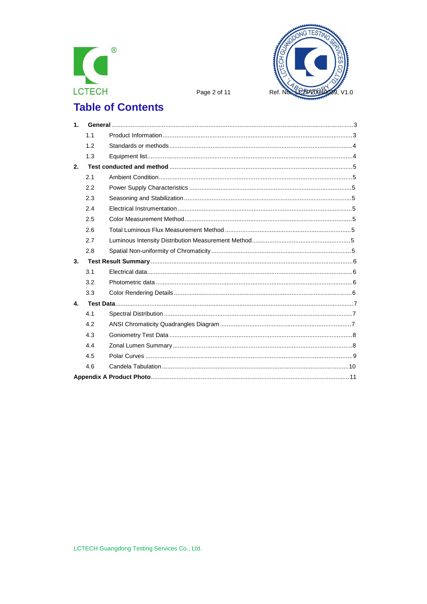



Page 2 of 11

# **Table of Contents**

| 1 <sub>1</sub> |     |  |
|----------------|-----|--|
|                | 1.1 |  |
|                | 1.2 |  |
|                | 1.3 |  |
| 2.             |     |  |
|                | 2.1 |  |
|                | 2.2 |  |
|                | 2.3 |  |
|                | 2.4 |  |
|                | 2.5 |  |
|                | 2.6 |  |
|                | 2.7 |  |
|                | 2.8 |  |
| 3.             |     |  |
|                | 3.1 |  |
|                | 3.2 |  |
|                | 3.3 |  |
| 4.             |     |  |
|                | 4.1 |  |
|                | 4.2 |  |
|                | 4.3 |  |
|                | 4.4 |  |
|                | 4.5 |  |
|                | 4.6 |  |
|                |     |  |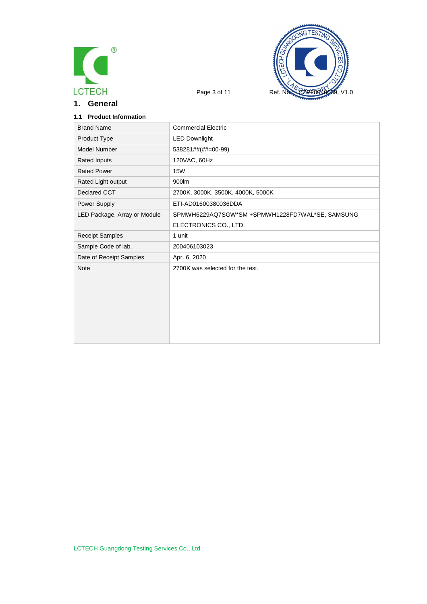

**1. General**



## **1.1 Product Information**

| <b>Brand Name</b>            | <b>Commercial Electric</b>                      |
|------------------------------|-------------------------------------------------|
| Product Type                 | <b>LED Downlight</b>                            |
| Model Number                 | 538281##(##=00-99)                              |
| <b>Rated Inputs</b>          | 120VAC, 60Hz                                    |
| <b>Rated Power</b>           | <b>15W</b>                                      |
| Rated Light output           | 900lm                                           |
| Declared CCT                 | 2700K, 3000K, 3500K, 4000K, 5000K               |
| Power Supply                 | ETI-AD01600380036DDA                            |
| LED Package, Array or Module | SPMWH6229AQ7SGW*SM +SPMWH1228FD7WAL*SE, SAMSUNG |
|                              | ELECTRONICS CO., LTD.                           |
| <b>Receipt Samples</b>       | 1 unit                                          |
| Sample Code of lab.          | 200406103023                                    |
| Date of Receipt Samples      | Apr. 6, 2020                                    |
| <b>Note</b>                  | 2700K was selected for the test.                |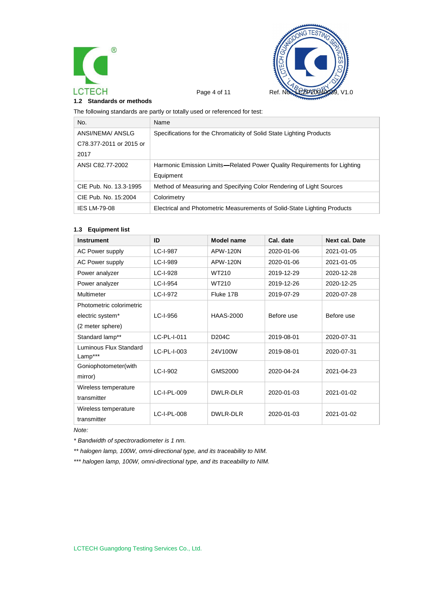



#### **1.2 Standards or methods**

The following standards are partly or totally used or referenced for test:

| No.                     | Name                                                                     |
|-------------------------|--------------------------------------------------------------------------|
| ANSI/NEMA/ ANSLG        | Specifications for the Chromaticity of Solid State Lighting Products     |
| C78.377-2011 or 2015 or |                                                                          |
| 2017                    |                                                                          |
| ANSI C82.77-2002        | Harmonic Emission Limits—Related Power Quality Requirements for Lighting |
|                         | Equipment                                                                |
| CIE Pub. No. 13.3-1995  | Method of Measuring and Specifying Color Rendering of Light Sources      |
| CIE Pub. No. 15:2004    | Colorimetry                                                              |
| <b>IES LM-79-08</b>     | Electrical and Photometric Measurements of Solid-State Lighting Products |

#### **1.3 Equipment list**

| <b>Instrument</b>                 | ID          | Model name         | Cal. date  | <b>Next cal. Date</b> |
|-----------------------------------|-------------|--------------------|------------|-----------------------|
| <b>AC Power supply</b>            | LC-I-987    | APW-120N           | 2020-01-06 | 2021-01-05            |
| <b>AC Power supply</b>            | LC-I-989    | APW-120N           | 2020-01-06 | 2021-01-05            |
| Power analyzer                    | LC-I-928    | WT210              | 2019-12-29 | 2020-12-28            |
| Power analyzer                    | LC-I-954    | WT210              | 2019-12-26 | 2020-12-25            |
| Multimeter                        | LC-I-972    | Fluke 17B          | 2019-07-29 | 2020-07-28            |
| Photometric colorimetric          |             |                    |            |                       |
| electric system*                  | LC-I-956    | <b>HAAS-2000</b>   | Before use | Before use            |
| (2 meter sphere)                  |             |                    |            |                       |
| Standard lamp**                   | LC-PL-I-011 | D <sub>204</sub> C | 2019-08-01 | 2020-07-31            |
| Luminous Flux Standard<br>Lamp*** | LC-PL-I-003 | 24V100W            | 2019-08-01 | 2020-07-31            |
| Goniophotometer(with              | $LC-I-902$  | GMS2000            | 2020-04-24 | 2021-04-23            |
| mirror)                           |             |                    |            |                       |
| Wireless temperature              | LC-I-PL-009 | DWLR-DLR           | 2020-01-03 | 2021-01-02            |
| transmitter                       |             |                    |            |                       |
| Wireless temperature              | LC-I-PL-008 | DWLR-DLR           | 2020-01-03 | 2021-01-02            |
| transmitter                       |             |                    |            |                       |

*Note:*

*\* Bandwidth of spectroradiometer is 1 nm.*

*\*\* halogen lamp, 100W, omni-directional type, and its traceability to NIM.*

*\*\*\* halogen lamp, 100W, omni-directional type, and its traceability to NIM.*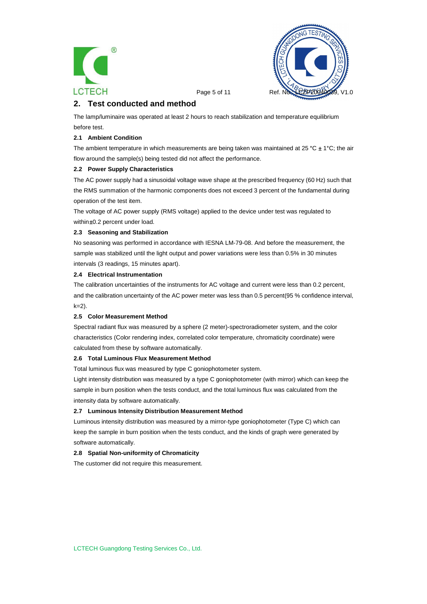



Page 5 of 11 Ref.

# **2. Test conducted and method**

The lamp/luminaire was operated at least 2 hours to reach stabilization and temperature equilibrium before test.

#### **2.1 Ambient Condition**

The ambient temperature in which measurements are being taken was maintained at 25 °C  $\pm$  1°C; the air flow around the sample(s) being tested did not affect the performance.

#### **2.2 Power Supply Characteristics**

The AC power supply had a sinusoidal voltage wave shape at the prescribed frequency (60 Hz) such that the RMS summation of the harmonic components does not exceed 3 percent of the fundamental during operation of the test item.

The voltage of AC power supply (RMS voltage) applied to the device under test was regulated to within ±0.2 percent under load.

#### **2.3 Seasoning and Stabilization**

No seasoning was performed in accordance with IESNA LM-79-08. And before the measurement, the sample was stabilized until the light output and power variations were less than 0.5% in 30 minutes intervals (3 readings, 15 minutes apart).

#### **2.4 Electrical Instrumentation**

The calibration uncertainties of the instruments for AC voltage and current were less than 0.2 percent, and the calibration uncertainty of the AC power meter was less than 0.5 percent(95 % confidence interval,  $k=2$ ).

#### **2.5 Color Measurement Method**

Spectral radiant flux was measured by a sphere (2 meter)-spectroradiometer system, and the color characteristics (Color rendering index, correlated color temperature, chromaticity coordinate) were calculated from these by software automatically.

#### **2.6 Total Luminous Flux Measurement Method**

Total luminous flux was measured by type C goniophotometer system.

Light intensity distribution was measured by a type C goniophotometer (with mirror) which can keep the sample in burn position when the tests conduct, and the total luminous flux was calculated from the intensity data by software automatically.

#### **2.7 Luminous Intensity Distribution Measurement Method**

Luminous intensity distribution was measured by a mirror-type goniophotometer (Type C) which can keep the sample in burn position when the tests conduct, and the kinds of graph were generated by software automatically.

#### **2.8 Spatial Non-uniformity of Chromaticity**

The customer did not require this measurement.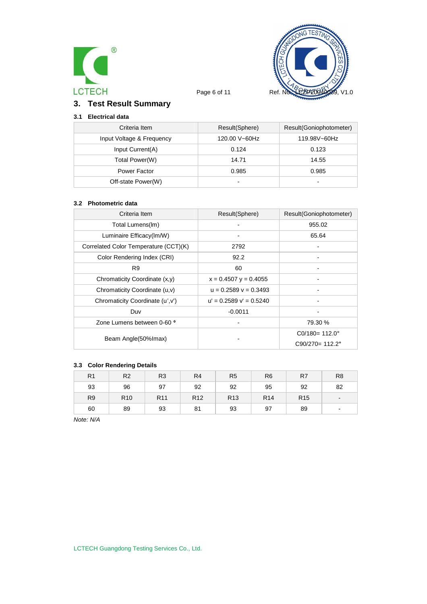



# **3. Test Result Summary**

# **3.1 Electrical data**

| Criteria Item             | Result(Sphere)           | Result(Goniophotometer)  |
|---------------------------|--------------------------|--------------------------|
| Input Voltage & Frequency | 120.00 V~60Hz            | 119.98V~60Hz             |
| Input Current(A)          | 0.124                    | 0.123                    |
| Total Power(W)            | 14.71                    | 14.55                    |
| Power Factor              | 0.985                    | 0.985                    |
| Off-state Power(W)        | $\overline{\phantom{0}}$ | $\overline{\phantom{0}}$ |

#### **3.2 Photometric data**

| Criteria Item                         | Result(Sphere)              | Result(Goniophotometer)   |
|---------------------------------------|-----------------------------|---------------------------|
| Total Lumens(Im)                      |                             | 955.02                    |
| Luminaire Efficacy(Im/W)              |                             | 65.64                     |
| Correlated Color Temperature (CCT)(K) | 2792                        |                           |
| Color Rendering Index (CRI)           | 92.2                        |                           |
| R <sub>9</sub>                        | 60                          |                           |
| Chromaticity Coordinate (x,y)         | $x = 0.4507$ y = 0.4055     |                           |
| Chromaticity Coordinate (u,v)         | $u = 0.2589$ $v = 0.3493$   |                           |
| Chromaticity Coordinate (u',v')       | $u' = 0.2589$ $v' = 0.5240$ |                           |
| Duv                                   | $-0.0011$                   |                           |
| Zone Lumens between 0-60 °            |                             | 79.30 %                   |
|                                       |                             | $CO/180 = 112.0^{\circ}$  |
| Beam Angle(50% Imax)                  |                             | $C90/270 = 112.2^{\circ}$ |

### **3.3 Color Rendering Details**

| R <sub>1</sub> | R <sub>2</sub>  | R <sub>3</sub>  | R <sub>4</sub>  | R <sub>5</sub>  | R <sub>6</sub>  | R7              | R <sub>8</sub> |
|----------------|-----------------|-----------------|-----------------|-----------------|-----------------|-----------------|----------------|
| 93             | 96              | 97              | 92              | 92              | 95              | 92              | 82             |
| R <sub>9</sub> | R <sub>10</sub> | R <sub>11</sub> | R <sub>12</sub> | R <sub>13</sub> | R <sub>14</sub> | R <sub>15</sub> | $\blacksquare$ |
| 60             | 89              | 93              | 81              | 93              | 97              | 89              | -              |

*Note: N/A*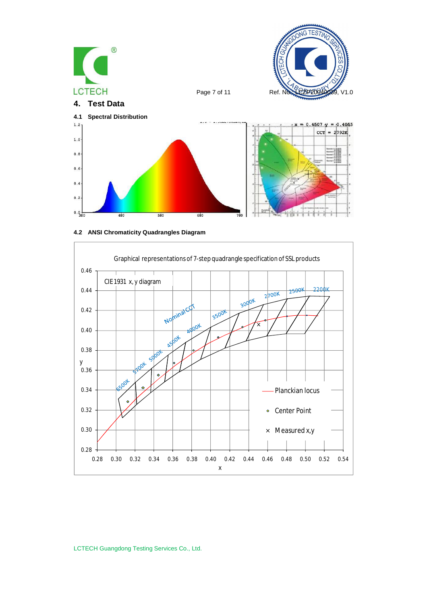





LCTECH Guangdong Testing Services Co., Ltd.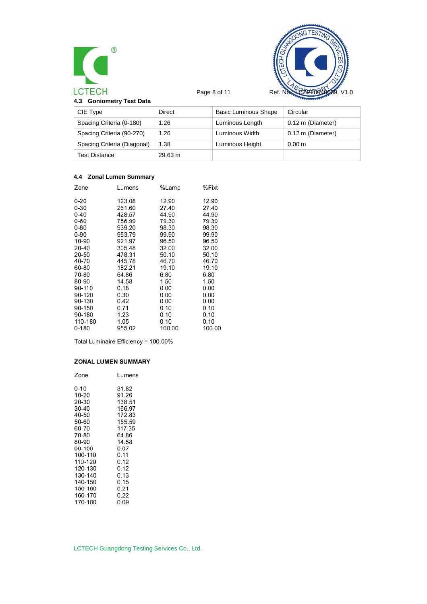



| 4.3 Goniometry Test Data |  |  |
|--------------------------|--|--|
|                          |  |  |

| CIE Type                    | Direct  | <b>Basic Luminous Shape</b> | Circular          |
|-----------------------------|---------|-----------------------------|-------------------|
| Spacing Criteria (0-180)    | 1.26    | Luminous Length             | 0.12 m (Diameter) |
| Spacing Criteria (90-270)   | 1.26    | Luminous Width              | 0.12 m (Diameter) |
| Spacing Criteria (Diagonal) | 1.38    | Luminous Height             | 0.00 <sub>m</sub> |
| <b>Test Distance</b>        | 29.63 m |                             |                   |

## **4.4 Zonal Lumen Summary**

|        | %Fixt  |
|--------|--------|
| 12.90  | 12.90  |
| 27.40  | 27.40  |
| 44.90  | 44.90  |
| 79.30  | 79.30  |
| 98.30  | 98.30  |
| 99.90  | 99.90  |
| 96.50  | 96.50  |
| 32.00  | 32.00  |
| 50.10  | 50.10  |
| 46.70  | 46.70  |
| 19.10  | 19.10  |
| 6.80   | 6.80   |
| 1.50   | 1.50   |
| 0.00   | 0.00   |
| 0.00   | 0.00   |
| 0.00   | 0.00   |
| 0.10   | 0.10   |
| 0.10   | 0.10   |
| 0.10   | 0.10   |
| 100.00 | 100.OC |
|        | %Lamp  |

Total Luminaire Efficiency = 100.00%

### **ZONAL LUMEN SUMMARY**

| Zone    | Lumens |
|---------|--------|
| 0-10    | 31.82  |
| 10-20   | 91.26  |
| 20-30   | 138.51 |
| 30-40   | 166.97 |
| 40-50   | 172.83 |
| 50-60   | 155.59 |
| 60-70   | 117.35 |
| 70-80   | 64.86  |
| 80-90   | 14.58  |
| 90-100  | 0.07   |
| 100-110 | 0.11   |
| 110-120 | 0.12   |
| 120-130 | 0.12   |
| 130-140 | 0.13   |
| 140-150 | 0.15   |
| 150-160 | 0.21   |
| 160-170 | 0.22   |
| 170-180 | 0.09   |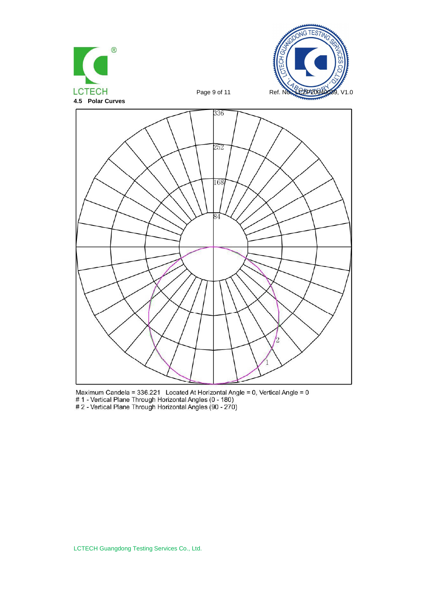





Maximum Candela = 336.221 Located At Horizontal Angle = 0, Vertical Angle = 0<br># 1 - Vertical Plane Through Horizontal Angles (0 - 180)<br># 2 - Vertical Plane Through Horizontal Angles (90 - 270)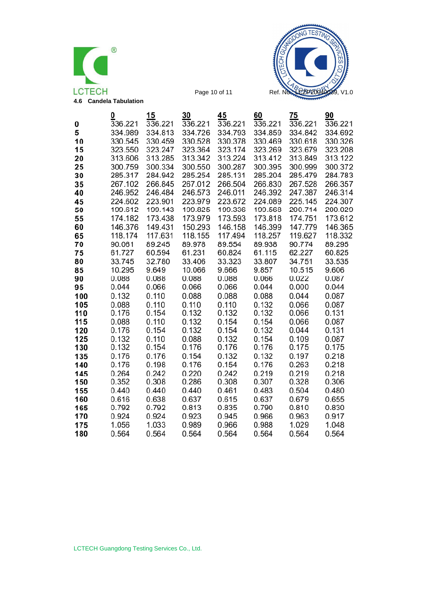



|            | 0                    | 15             | 30             | 45             | 60             | 75             | 90             |
|------------|----------------------|----------------|----------------|----------------|----------------|----------------|----------------|
| 0          | $\overline{3}36.221$ | 336.221        | 336.221        | 336.221        | 336.221        | 336.221        | 336.221        |
| 5          | 334.989              | 334.813        | 334.726        | 334.793        | 334.859        | 334.842        | 334.692        |
| 10         | 330.545              | 330.459        | 330.528        | 330.378        | 330.469        | 330.618        | 330.326        |
| 15         | 323.550              | 323.247        | 323.364        | 323.174        | 323.269        | 323.679        | 323.208        |
| 20         | 313.606              | 313.285        | 313.342        | 313.224        | 313.412        | 313.849        | 313.122        |
| 25         | 300.759              | 300.334        | 300.550        | 300.287        | 300.395        | 300.999        | 300.372        |
| 30         | 285.317              | 284.942        | 285.254        | 285.131        | 285.204        | 285.479        | 284.783        |
| 35         | 267.102              | 266.845        | 267.012        | 266.504        | 266.830        | 267.528        | 266.357        |
| 40         | 246.952              | 246.484        | 246.573        | 246.011        | 246.392        | 247.387        | 246.314        |
| 45         | 224.602              | 223.901        | 223.979        | 223.672        | 224.089        | 225.145        | 224.307        |
| 50         | 199.612              | 199.143        | 199.825        | 199.336        | 199.568        | 200.714        | 200.029        |
| 55         | 174.182              | 173.438        | 173.979        | 173.593        | 173.818        | 174.751        | 173.612        |
| 60         | 146.376              | 149.431        | 150.293        | 146.158        | 146.399        | 147.779        | 146.365        |
| 65         | 118.174              | 117.631        | 118.155        | 117.494        | 118.257        | 119.627        | 118.332        |
| 70         | 90.061               | 89.245         | 89.978         | 89.554         | 89.938         | 90.774         | 89.295         |
| 75         | 61.727               | 60.594         | 61.231         | 60.824         | 61.115         | 62.227         | 60.825         |
| 80         | 33.745               | 32.780         | 33.406         | 33.323         | 33.807         | 34.751         | 33.535         |
| 85         | 10.295               | 9.649          | 10.066         | 9.666          | 9.857          | 10.515         | 9.606          |
| 90         | 0.088                | 0.088          | 0.088          | 0.088          | 0.066          | 0.022          | 0.087          |
| 95         | 0.044                | 0.066          | 0.066          | 0.066          | 0.044          | 0.000          | 0.044          |
| 100        | 0.132                | 0.110          | 0.088          | 0.088          | 0.088          | 0.044          | 0.087          |
| 105<br>110 | 0.088<br>0.176       | 0.110<br>0.154 | 0.110<br>0.132 | 0.110<br>0.132 | 0.132<br>0.132 | 0.066<br>0.066 | 0.087<br>0.131 |
| 115        | 0.088                | 0.110          | 0.132          | 0.154          | 0.154          | 0.066          | 0.087          |
| 120        | 0.176                | 0.154          | 0.132          | 0.154          | 0.132          | 0.044          | 0.131          |
| 125        | 0.132                | 0.110          | 0.088          | 0.132          | 0.154          | 0.109          | 0.087          |
| 130        | 0.132                | 0.154          | 0.176          | 0.176          | 0.176          | 0.175          | 0.175          |
| 135        | 0.176                | 0.176          | 0.154          | 0.132          | 0.132          | 0.197          | 0.218          |
| 140        | 0.176                | 0.198          | 0.176          | 0.154          | 0.176          | 0.263          | 0.218          |
| 145        | 0.264                | 0.242          | 0.220          | 0.242          | 0.219          | 0.219          | 0.218          |
| 150        | 0.352                | 0.308          | 0.286          | 0.308          | 0.307          | 0.328          | 0.306          |
| 155        | 0.440                | 0.440          | 0.440          | 0.461          | 0.483          | 0.504          | 0.480          |
| 160        | 0.616                | 0.638          | 0.637          | 0.615          | 0.637          | 0.679          | 0.655          |
| 165        | 0.792                | 0.792          | 0.813          | 0.835          | 0.790          | 0.810          | 0.830          |
| 170        | 0.924                | 0.924          | 0.923          | 0.945          | 0.966          | 0.963          | 0.917          |
| 175        | 1.056                | 1.033          | 0.989          | 0.966          | 0.988          | 1.029          | 1.048          |
| 180        | 0.564                | 0.564          | 0.564          | 0.564          | 0.564          | 0.564          | 0.564          |